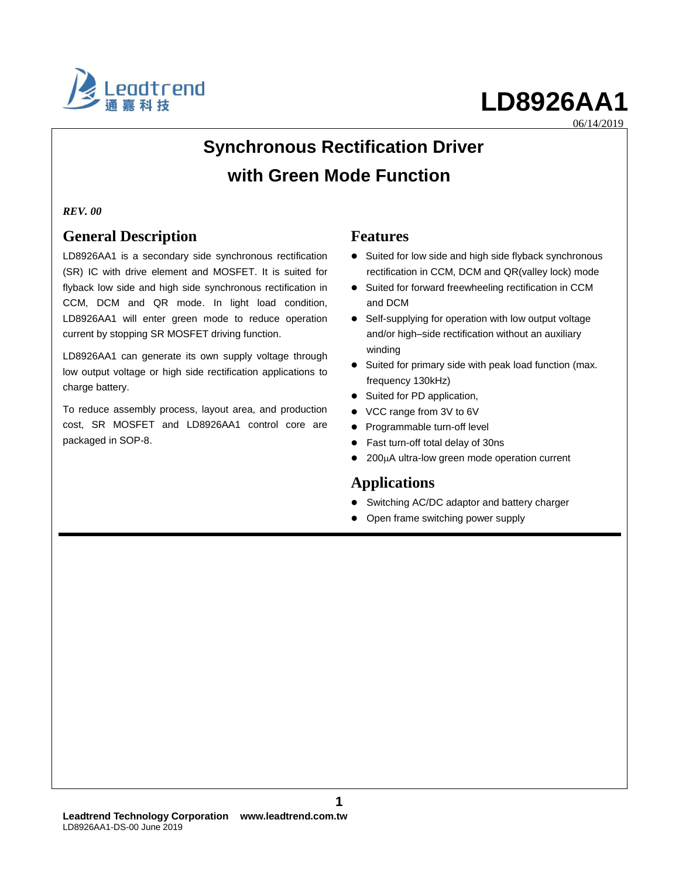

06/14/2019

## **Synchronous Rectification Driver with Green Mode Function**

#### *REV. 00*

### **General Description**

LD8926AA1 is a secondary side synchronous rectification (SR) IC with drive element and MOSFET. It is suited for flyback low side and high side synchronous rectification in CCM, DCM and QR mode. In light load condition, LD8926AA1 will enter green mode to reduce operation current by stopping SR MOSFET driving function.

LD8926AA1 can generate its own supply voltage through low output voltage or high side rectification applications to charge battery.

To reduce assembly process, layout area, and production cost, SR MOSFET and LD8926AA1 control core are packaged in SOP-8.

#### **Features**

- Suited for low side and high side flyback synchronous rectification in CCM, DCM and QR(valley lock) mode
- Suited for forward freewheeling rectification in CCM and DCM
- Self-supplying for operation with low output voltage and/or high–side rectification without an auxiliary winding
- Suited for primary side with peak load function (max. frequency 130kHz)
- Suited for PD application,
- VCC range from 3V to 6V
- Programmable turn-off level
- Fast turn-off total delay of 30ns
- 200µA ultra-low green mode operation current

### **Applications**

- Switching AC/DC adaptor and battery charger
- Open frame switching power supply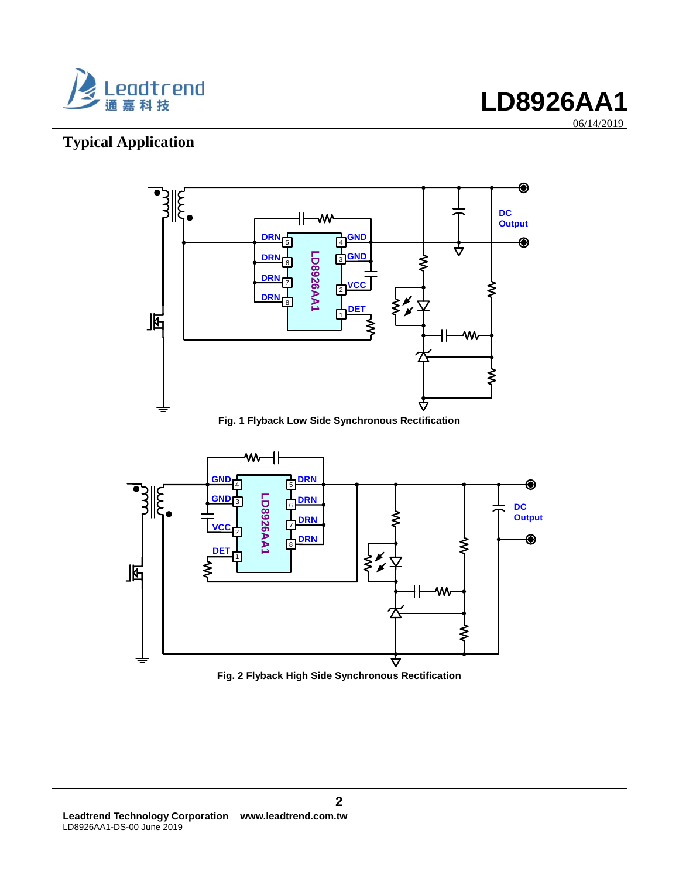



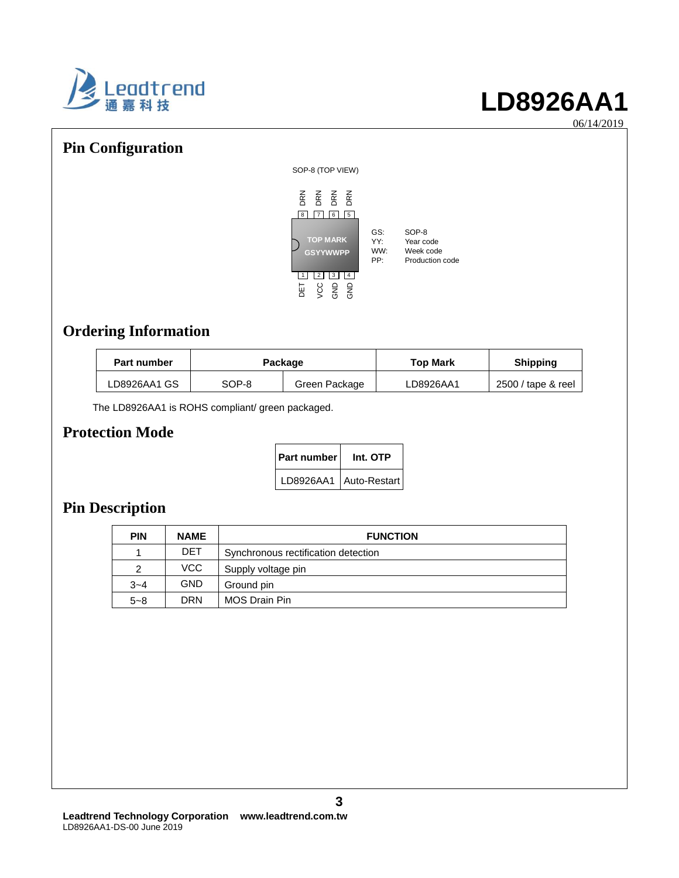

06/14/2019

### **Pin Configuration**



### **Ordering Information**

| <b>Part number</b> | Package |               | <b>Top Mark</b> | <b>Shipping</b>    |
|--------------------|---------|---------------|-----------------|--------------------|
| LD8926AA1 GS       | SOP-8   | Green Package | LD8926AA1       | 2500 / tape & reel |

The LD8926AA1 is ROHS compliant/ green packaged.

### **Protection Mode**

| Part number | Int. OTP                 |  |  |  |
|-------------|--------------------------|--|--|--|
|             | LD8926AA1   Auto-Restart |  |  |  |

### **Pin Description**

| <b>PIN</b> | <b>NAME</b> | <b>FUNCTION</b>                     |
|------------|-------------|-------------------------------------|
|            | <b>DET</b>  | Synchronous rectification detection |
| 2          | VCC.        | Supply voltage pin                  |
| $3 - 4$    | <b>GND</b>  | Ground pin                          |
| $5 - 8$    | <b>DRN</b>  | MOS Drain Pin                       |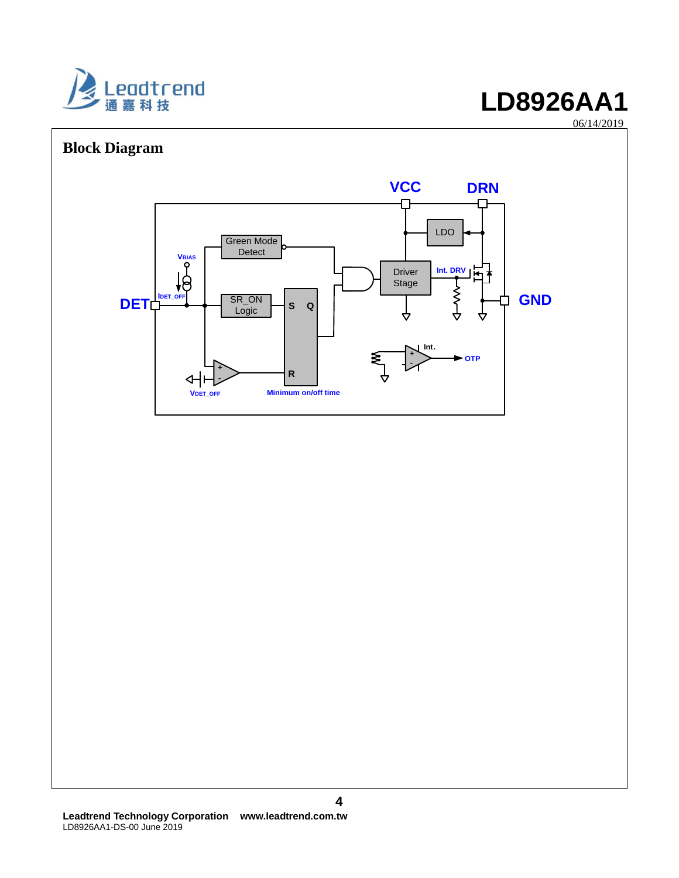

06/14/2019

# **Block Diagram VCC DRN** ጡ LDO Green Mode Detect V<sub>BIAS</sub><br>
P<br>
FF<br>
FF<br>
Logic<br>
Logic **Int. DRV**Driver ļ٣ Stage DET\_PET\_OF SR\_ON<br>Logic **GND OTP DET** ┑ **S Q Int. + - R - Minimum on/off time VDET\_OFF**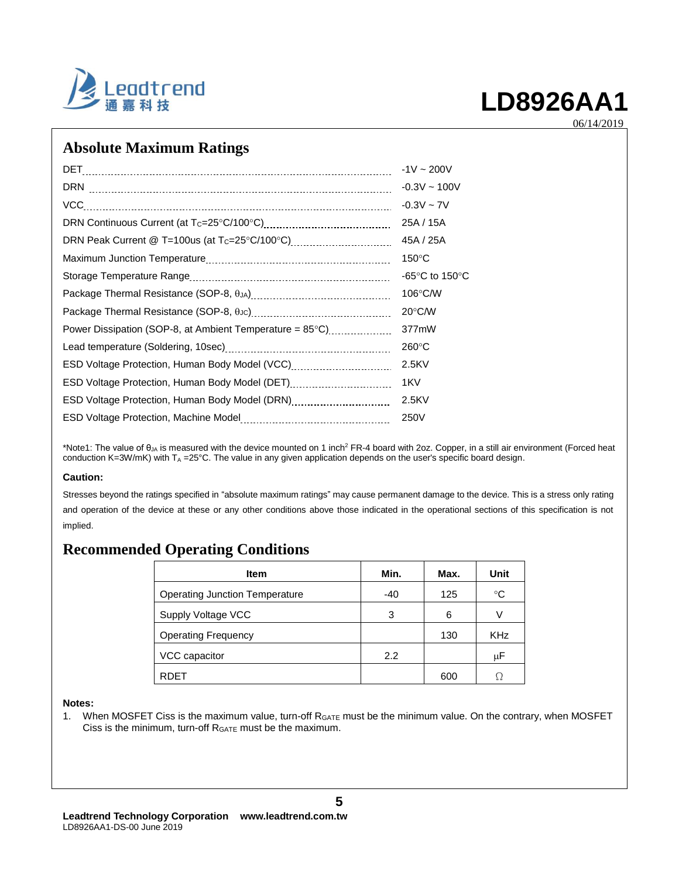

06/14/2019

### **Absolute Maximum Ratings**

|                                                          | $-1V \sim 200V$                    |
|----------------------------------------------------------|------------------------------------|
|                                                          | $-0.3V \sim 100V$                  |
| VCC                                                      | $-0.3V - 7V$                       |
|                                                          | 25A / 15A                          |
|                                                          | 45A / 25A                          |
|                                                          | $150^{\circ}$ C                    |
|                                                          | -65 $\degree$ C to 150 $\degree$ C |
|                                                          | $106^{\circ}$ C/W                  |
|                                                          | $20^{\circ}$ C/W                   |
| Power Dissipation (SOP-8, at Ambient Temperature = 85°C) | 377mW                              |
|                                                          | $260^{\circ}$ C                    |
|                                                          | 2.5KV                              |
| ESD Voltage Protection, Human Body Model (DET)           | 1KV                                |
| ESD Voltage Protection, Human Body Model (DRN)           | 2.5KV                              |
|                                                          | 250V                               |

\*Note1: The value of  $\theta_{\mu}$  is measured with the device mounted on 1 inch<sup>2</sup> FR-4 board with 2oz. Copper, in a still air environment (Forced heat conduction K=3W/mK) with  $T_A = 25^{\circ}$ C. The value in any given application depends on the user's specific board design.

#### **Caution:**

Stresses beyond the ratings specified in "absolute maximum ratings" may cause permanent damage to the device. This is a stress only rating and operation of the device at these or any other conditions above those indicated in the operational sections of this specification is not implied.

### **Recommended Operating Conditions**

| Item                                  | Min.  | Max. | Unit            |
|---------------------------------------|-------|------|-----------------|
| <b>Operating Junction Temperature</b> | $-40$ | 125  | $\rm ^{\circ}C$ |
| Supply Voltage VCC                    | 3     | 6    | V               |
| <b>Operating Frequency</b>            |       | 130  | <b>KHz</b>      |
| VCC capacitor                         | 2.2   |      | μF              |
| <b>RDET</b>                           |       | 600  |                 |

#### **Notes:**

1. When MOSFET Ciss is the maximum value, turn-off  $R_{GATE}$  must be the minimum value. On the contrary, when MOSFET Ciss is the minimum, turn-off RGATE must be the maximum.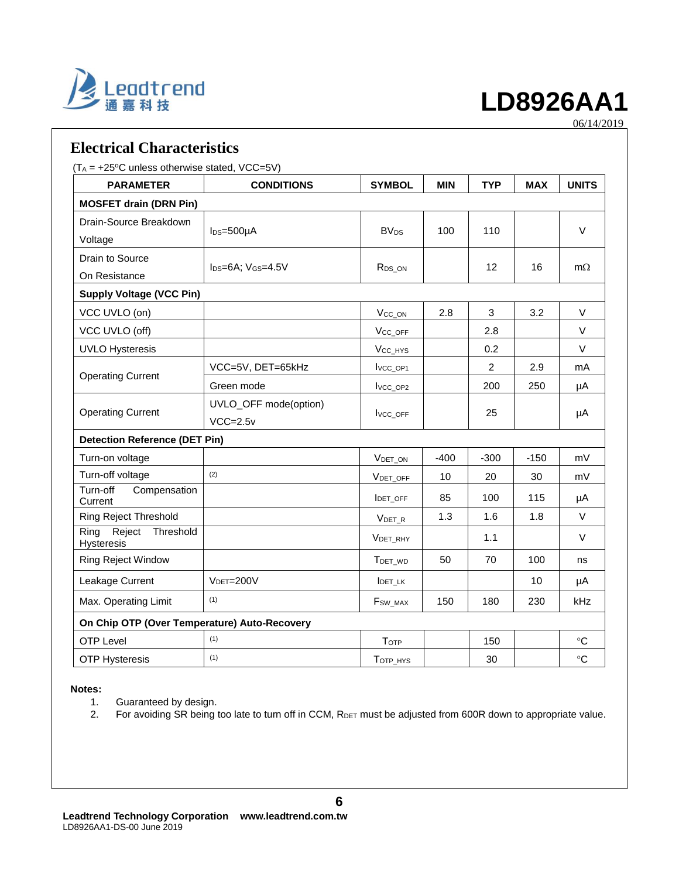

06/14/2019

| <b>Electrical Characteristics</b>                      |                             |                        |            |                |            |                 |
|--------------------------------------------------------|-----------------------------|------------------------|------------|----------------|------------|-----------------|
| $(T_A = +25\degree C$ unless otherwise stated, VCC=5V) |                             |                        |            |                |            |                 |
| <b>PARAMETER</b>                                       | <b>CONDITIONS</b>           | <b>SYMBOL</b>          | <b>MIN</b> | <b>TYP</b>     | <b>MAX</b> | <b>UNITS</b>    |
| <b>MOSFET drain (DRN Pin)</b>                          |                             |                        |            |                |            |                 |
| Drain-Source Breakdown                                 |                             | <b>BV<sub>DS</sub></b> |            |                |            | V               |
| Voltage                                                | $I_{DS}=500\mu A$           |                        | 100        | 110            |            |                 |
| Drain to Source                                        |                             |                        |            | 12             |            |                 |
| On Resistance                                          | $I_{DS}=6A$ ; $V_{GS}=4.5V$ | R <sub>DS_ON</sub>     |            |                | 16         | $m\Omega$       |
| <b>Supply Voltage (VCC Pin)</b>                        |                             |                        |            |                |            |                 |
| VCC UVLO (on)                                          |                             | V <sub>CC</sub> ON     | 2.8        | 3              | 3.2        | V               |
| VCC UVLO (off)                                         |                             | V <sub>CC_OFF</sub>    |            | 2.8            |            | $\vee$          |
| <b>UVLO Hysteresis</b>                                 |                             | V <sub>CC_HYS</sub>    |            | 0.2            |            | $\vee$          |
| <b>Operating Current</b>                               | VCC=5V, DET=65kHz           | Ivcc_op1               |            | $\overline{c}$ | 2.9        | mA              |
|                                                        | Green mode                  | I <sub>VCC_OP2</sub>   |            | 200            | 250        | μA              |
|                                                        | UVLO_OFF mode(option)       |                        |            |                |            |                 |
| <b>Operating Current</b>                               | $VCC=2.5v$                  | <b>IVCC OFF</b>        |            | 25             |            | μA              |
| <b>Detection Reference (DET Pin)</b>                   |                             |                        |            |                |            |                 |
| Turn-on voltage                                        |                             | <b>VDET ON</b>         | $-400$     | $-300$         | $-150$     | mV              |
| Turn-off voltage                                       | (2)                         | VDET_OFF               | 10         | 20             | 30         | mV              |
| Turn-off<br>Compensation<br>Current                    |                             | <b>IDET OFF</b>        | 85         | 100            | 115        | μA              |
| <b>Ring Reject Threshold</b>                           |                             | VDET R                 | 1.3        | 1.6            | 1.8        | V               |
| Reject<br>Threshold<br>Ring<br><b>Hysteresis</b>       |                             | VDET_RHY               |            | 1.1            |            | V               |
| <b>Ring Reject Window</b>                              |                             | TDET_WD                | 50         | 70             | 100        | ns              |
| Leakage Current<br>$VDET=200V$                         |                             | <b>IDET LK</b>         |            |                | 10         | μA              |
| (1)<br>Max. Operating Limit                            |                             | F <sub>SW_MAX</sub>    | 150        | 180            | 230        | kHz             |
| On Chip OTP (Over Temperature) Auto-Recovery           |                             |                        |            |                |            |                 |
| <b>OTP Level</b>                                       | (1)                         | TOTP                   |            | 150            |            | $^{\circ}C$     |
| <b>OTP Hysteresis</b>                                  | (1)                         | TOTP_HYS               |            | 30             |            | $\rm ^{\circ}C$ |

#### **Notes:**

- 1. Guaranteed by design.
- 2. For avoiding SR being too late to turn off in CCM, RDET must be adjusted from 600R down to appropriate value.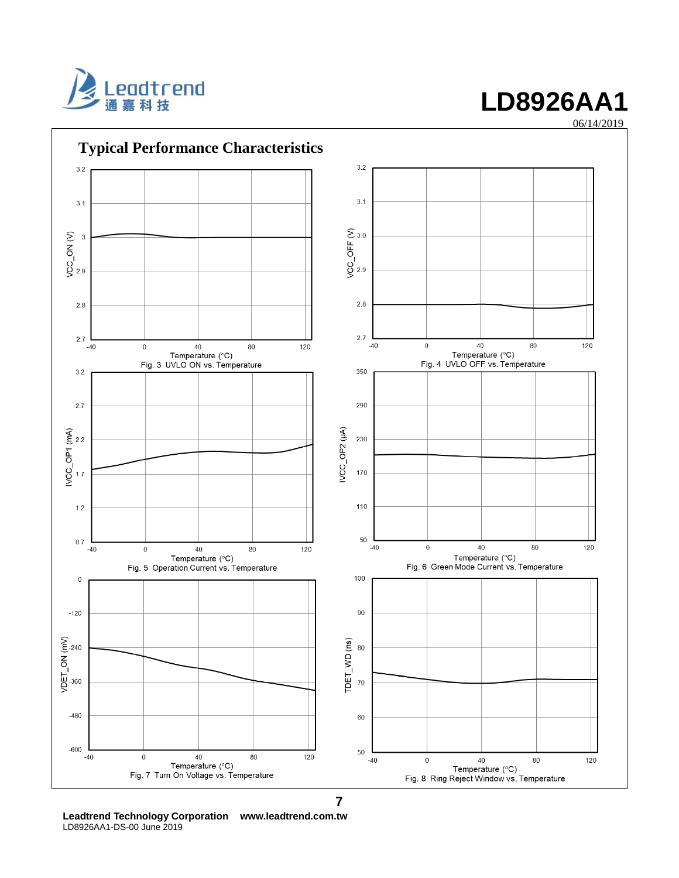





**Leadtrend Technology Corporation www.leadtrend.com.tw** LD8926AA1-DS-00 June 2019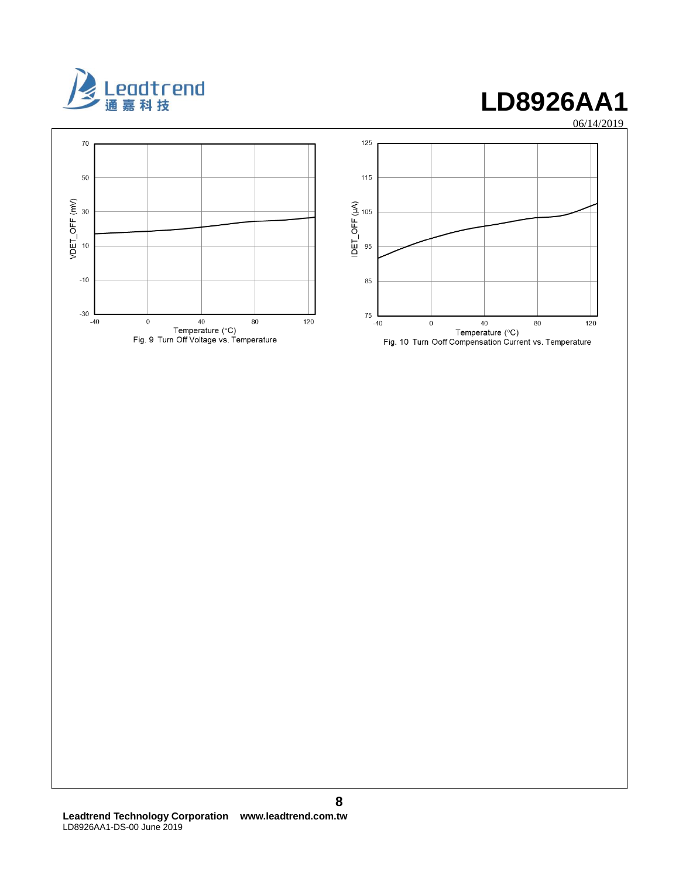

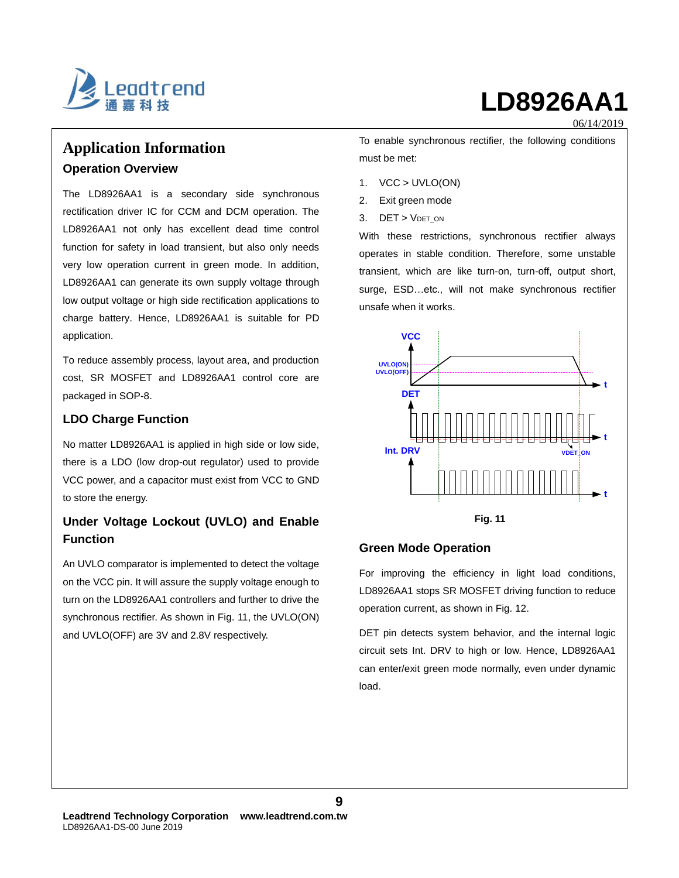

06/14/2019

### **Application Information Operation Overview**

The LD8926AA1 is a secondary side synchronous rectification driver IC for CCM and DCM operation. The LD8926AA1 not only has excellent dead time control function for safety in load transient, but also only needs very low operation current in green mode. In addition, LD8926AA1 can generate its own supply voltage through low output voltage or high side rectification applications to charge battery. Hence, LD8926AA1 is suitable for PD application.

To reduce assembly process, layout area, and production cost, SR MOSFET and LD8926AA1 control core are packaged in SOP-8.

#### **LDO Charge Function**

No matter LD8926AA1 is applied in high side or low side, there is a LDO (low drop-out regulator) used to provide VCC power, and a capacitor must exist from VCC to GND to store the energy.

### **Under Voltage Lockout (UVLO) and Enable Function**

An UVLO comparator is implemented to detect the voltage on the VCC pin. It will assure the supply voltage enough to turn on the LD8926AA1 controllers and further to drive the synchronous rectifier. As shown in Fig. 11, the UVLO(ON) and UVLO(OFF) are 3V and 2.8V respectively.

To enable synchronous rectifier, the following conditions must be met:

- 1. VCC > UVLO(ON)
- 2. Exit green mode
- 3. DET > VDET\_ON

With these restrictions, synchronous rectifier always operates in stable condition. Therefore, some unstable transient, which are like turn-on, turn-off, output short, surge, ESD…etc., will not make synchronous rectifier unsafe when it works.



#### **Green Mode Operation**

For improving the efficiency in light load conditions, LD8926AA1 stops SR MOSFET driving function to reduce operation current, as shown in Fig. 12.

DET pin detects system behavior, and the internal logic circuit sets Int. DRV to high or low. Hence, LD8926AA1 can enter/exit green mode normally, even under dynamic load.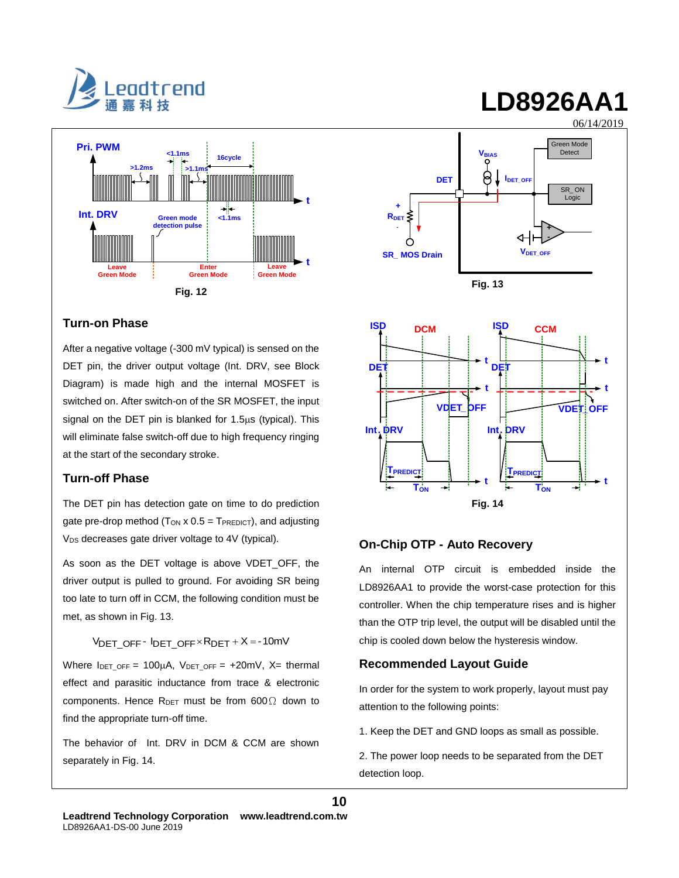



#### **Turn-on Phase**

After a negative voltage (-300 mV typical) is sensed on the DET pin, the driver output voltage (Int. DRV, see Block Diagram) is made high and the internal MOSFET is switched on. After switch-on of the SR MOSFET, the input signal on the DET pin is blanked for  $1.5\mu s$  (typical). This will eliminate false switch-off due to high frequency ringing at the start of the secondary stroke.

#### **Turn-off Phase**

The DET pin has detection gate on time to do prediction gate pre-drop method ( $T_{ON}$  x 0.5 =  $T_{PREDICT}$ ), and adjusting V<sub>DS</sub> decreases gate driver voltage to 4V (typical).

As soon as the DET voltage is above VDET\_OFF, the driver output is pulled to ground. For avoiding SR being too late to turn off in CCM, the following condition must be met, as shown in Fig. 13.

 $V<sub>DET</sub>$  OFF -  $I<sub>DET</sub>$  OFF  $\times$  R<sub>DET</sub> + X = -10mV

Where  $I_{DET\_OFF} = 100\mu A$ ,  $V_{DET\_OFF} = +20mV$ ,  $X=$  thermal effect and parasitic inductance from trace & electronic components. Hence  $R_{DET}$  must be from 600 $\Omega$  down to find the appropriate turn-off time.

The behavior of Int. DRV in DCM & CCM are shown separately in Fig. 14.



#### **On-Chip OTP - Auto Recovery**

An internal OTP circuit is embedded inside the LD8926AA1 to provide the worst-case protection for this controller. When the chip temperature rises and is higher than the OTP trip level, the output will be disabled until the chip is cooled down below the hysteresis window.

#### **Recommended Layout Guide**

In order for the system to work properly, layout must pay attention to the following points:

1. Keep the DET and GND loops as small as possible.

2. The power loop needs to be separated from the DET detection loop.

# **LD8926AA1**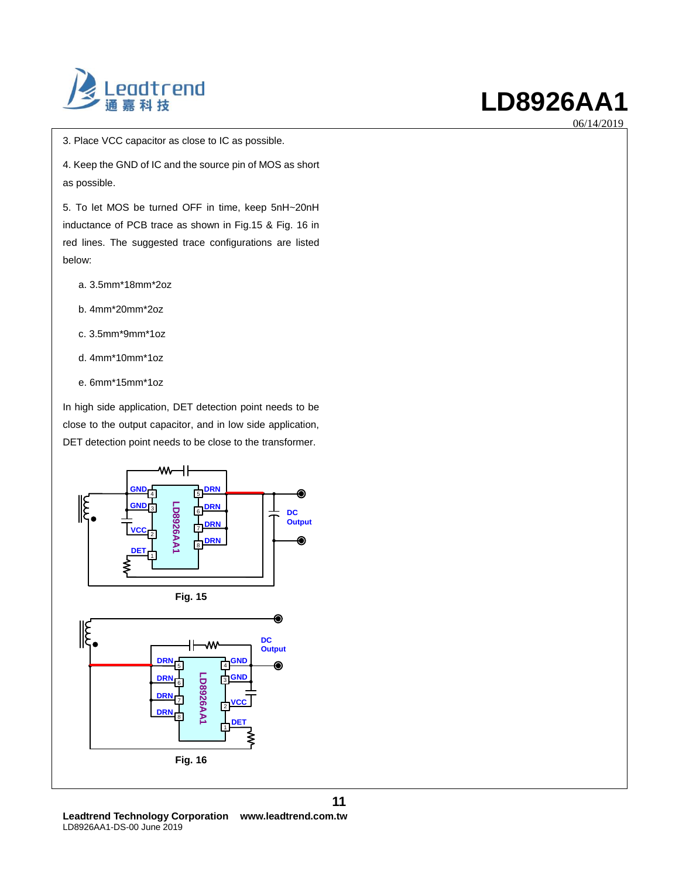

06/14/2019

3. Place VCC capacitor as close to IC as possible.

4. Keep the GND of IC and the source pin of MOS as short as possible.

5. To let MOS be turned OFF in time, keep 5nH~20nH inductance of PCB trace as shown in Fig.15 & Fig. 16 in red lines. The suggested trace configurations are listed below:

- a. 3.5mm\*18mm\*2oz
- b. 4mm\*20mm\*2oz
- c. 3.5mm\*9mm\*1oz
- d. 4mm\*10mm\*1oz
- e. 6mm\*15mm\*1oz

In high side application, DET detection point needs to be close to the output capacitor, and in low side application, DET detection point needs to be close to the transformer.



**Leadtrend Technology Corporation www.leadtrend.com.tw** LD8926AA1-DS-00 June 2019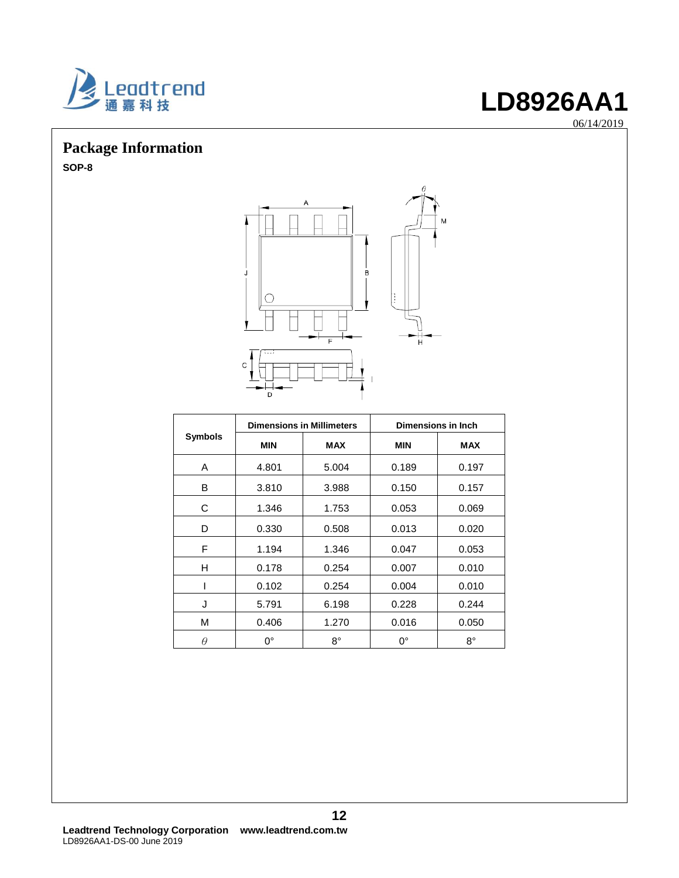

06/14/2019

### **Package Information**

**SOP-8**



|                | <b>Dimensions in Millimeters</b> |             | Dimensions in Inch |            |  |
|----------------|----------------------------------|-------------|--------------------|------------|--|
| <b>Symbols</b> | <b>MIN</b>                       | <b>MAX</b>  | <b>MIN</b>         | <b>MAX</b> |  |
| A              | 4.801                            | 5.004       | 0.189              | 0.197      |  |
| B              | 3.810                            | 3.988       | 0.150              | 0.157      |  |
| C              | 1.346                            | 1.753       | 0.053              | 0.069      |  |
| D              | 0.330                            | 0.508       | 0.013              | 0.020      |  |
| F              | 1.194                            | 1.346       | 0.047              | 0.053      |  |
| н              | 0.178                            | 0.254       | 0.007              | 0.010      |  |
|                | 0.102                            | 0.254       | 0.004              | 0.010      |  |
| J              | 5.791                            | 6.198       | 0.228              | 0.244      |  |
| М              | 0.406                            | 1.270       | 0.016              | 0.050      |  |
| $\theta$       | $0^{\circ}$                      | $8^{\circ}$ | $0^{\circ}$        | 8°         |  |